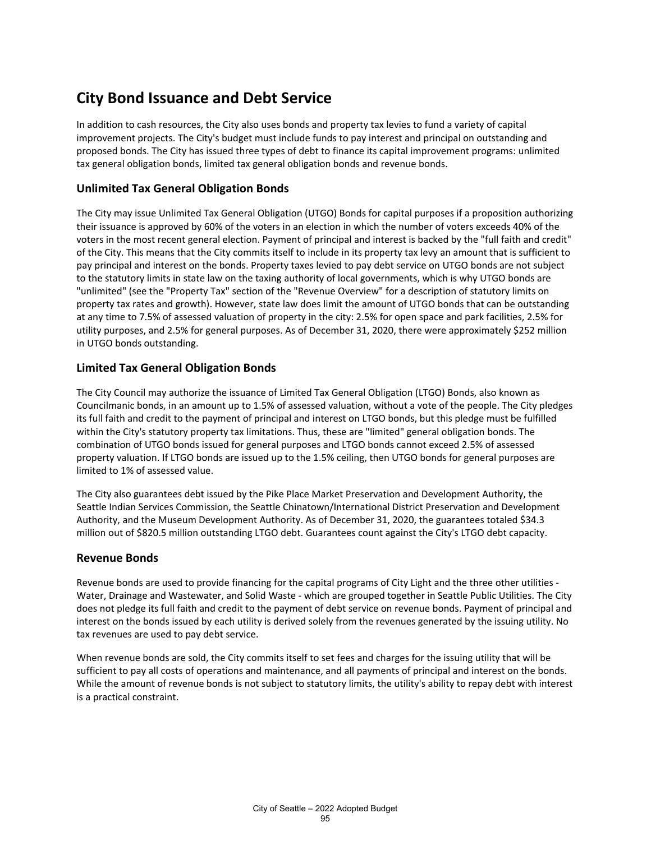# **City Bond Issuance and Debt Service**

In addition to cash resources, the City also uses bonds and property tax levies to fund a variety of capital improvement projects. The City's budget must include funds to pay interest and principal on outstanding and proposed bonds. The City has issued three types of debt to finance its capital improvement programs: unlimited tax general obligation bonds, limited tax general obligation bonds and revenue bonds.

# **Unlimited Tax General Obligation Bonds**

The City may issue Unlimited Tax General Obligation (UTGO) Bonds for capital purposes if a proposition authorizing their issuance is approved by 60% of the voters in an election in which the number of voters exceeds 40% of the voters in the most recent general election. Payment of principal and interest is backed by the "full faith and credit" of the City. This means that the City commits itself to include in its property tax levy an amount that is sufficient to pay principal and interest on the bonds. Property taxes levied to pay debt service on UTGO bonds are not subject to the statutory limits in state law on the taxing authority of local governments, which is why UTGO bonds are "unlimited" (see the "Property Tax" section of the "Revenue Overview" for a description of statutory limits on property tax rates and growth). However, state law does limit the amount of UTGO bonds that can be outstanding at any time to 7.5% of assessed valuation of property in the city: 2.5% for open space and park facilities, 2.5% for utility purposes, and 2.5% for general purposes. As of December 31, 2020, there were approximately \$252 million in UTGO bonds outstanding.

# **Limited Tax General Obligation Bonds**

The City Council may authorize the issuance of Limited Tax General Obligation (LTGO) Bonds, also known as Councilmanic bonds, in an amount up to 1.5% of assessed valuation, without a vote of the people. The City pledges its full faith and credit to the payment of principal and interest on LTGO bonds, but this pledge must be fulfilled within the City's statutory property tax limitations. Thus, these are "limited" general obligation bonds. The combination of UTGO bonds issued for general purposes and LTGO bonds cannot exceed 2.5% of assessed property valuation. If LTGO bonds are issued up to the 1.5% ceiling, then UTGO bonds for general purposes are limited to 1% of assessed value.

The City also guarantees debt issued by the Pike Place Market Preservation and Development Authority, the Seattle Indian Services Commission, the Seattle Chinatown/International District Preservation and Development Authority, and the Museum Development Authority. As of December 31, 2020, the guarantees totaled \$34.3 million out of \$820.5 million outstanding LTGO debt. Guarantees count against the City's LTGO debt capacity.

## **Revenue Bonds**

Revenue bonds are used to provide financing for the capital programs of City Light and the three other utilities - Water, Drainage and Wastewater, and Solid Waste - which are grouped together in Seattle Public Utilities. The City does not pledge its full faith and credit to the payment of debt service on revenue bonds. Payment of principal and interest on the bonds issued by each utility is derived solely from the revenues generated by the issuing utility. No tax revenues are used to pay debt service.

When revenue bonds are sold, the City commits itself to set fees and charges for the issuing utility that will be sufficient to pay all costs of operations and maintenance, and all payments of principal and interest on the bonds. While the amount of revenue bonds is not subject to statutory limits, the utility's ability to repay debt with interest is a practical constraint.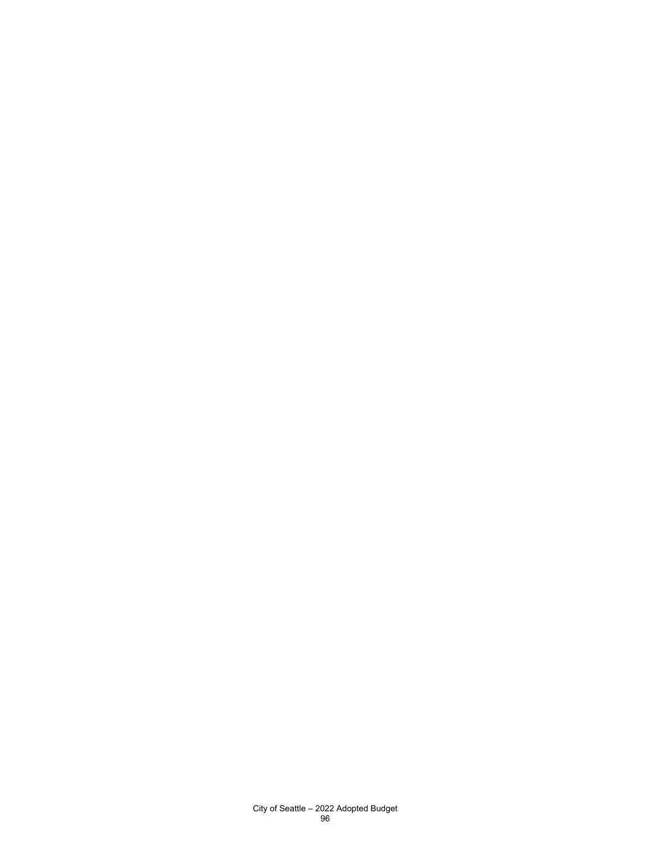#### City of Seattle – 2022 Adopted Budget 96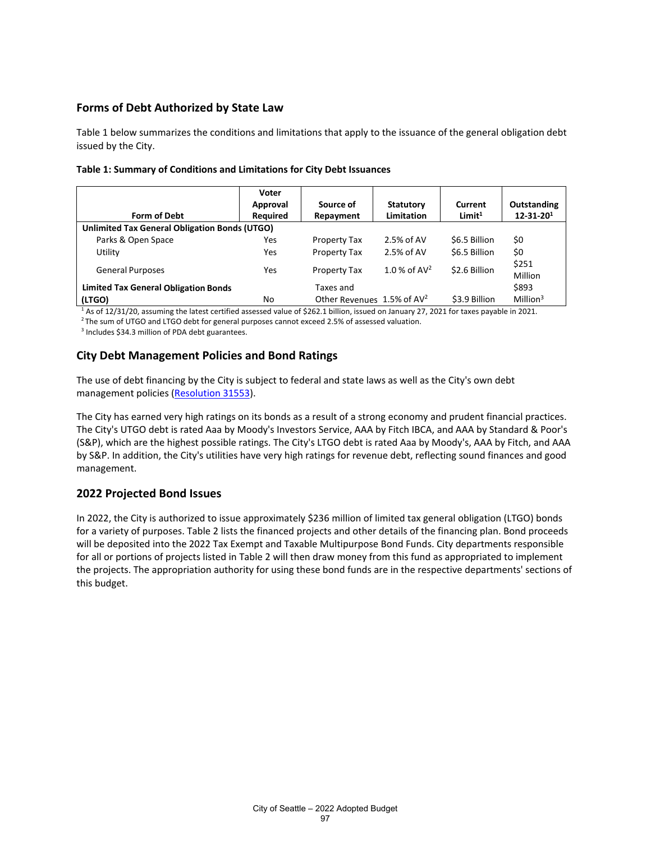# **Forms of Debt Authorized by State Law**

Table 1 below summarizes the conditions and limitations that apply to the issuance of the general obligation debt issued by the City.

| <b>Form of Debt</b>                           | Voter<br>Approval<br>Required | Source of<br>Repayment                 | <b>Statutory</b><br><b>Limitation</b> | Current<br>Limit <sup>1</sup> | Outstanding<br>$12 - 31 - 201$ |  |  |  |
|-----------------------------------------------|-------------------------------|----------------------------------------|---------------------------------------|-------------------------------|--------------------------------|--|--|--|
| Unlimited Tax General Obligation Bonds (UTGO) |                               |                                        |                                       |                               |                                |  |  |  |
| Parks & Open Space                            | Yes                           | Property Tax                           | 2.5% of AV                            | \$6.5 Billion                 | \$0                            |  |  |  |
| Utility                                       | Yes                           | Property Tax                           | 2.5% of AV                            | \$6.5 Billion                 | \$0                            |  |  |  |
| <b>General Purposes</b>                       | Yes                           | Property Tax                           | 1.0 % of $AV^2$                       | \$2.6 Billion                 | \$251<br>Million               |  |  |  |
| <b>Limited Tax General Obligation Bonds</b>   |                               | Taxes and                              |                                       |                               | \$893                          |  |  |  |
| (LTGO)                                        | No                            | Other Revenues 1.5% of AV <sup>2</sup> |                                       | \$3.9 Billion                 | Million $3$                    |  |  |  |

#### **Table 1: Summary of Conditions and Limitations for City Debt Issuances**

<sup>1</sup> As of 12/31/20, assuming the latest certified assessed value of \$262.1 billion, issued on January 27, 2021 for taxes payable in 2021.<br><sup>2</sup>The sum of UTGO and LTGO debt for general purposes cannot exceed 2.5% of assessed

<sup>3</sup> Includes \$34.3 million of PDA debt guarantees.

# **City Debt Management Policies and Bond Ratings**

The use of debt financing by the City is subject to federal and state laws as well as the City's own debt management policies [\(Resolution 31553\)](http://clerk.seattle.gov/%7ElegislativeItems/Resolutions/Resn_31553.pdf).

The City has earned very high ratings on its bonds as a result of a strong economy and prudent financial practices. The City's UTGO debt is rated Aaa by Moody's Investors Service, AAA by Fitch IBCA, and AAA by Standard & Poor's (S&P), which are the highest possible ratings. The City's LTGO debt is rated Aaa by Moody's, AAA by Fitch, and AAA by S&P. In addition, the City's utilities have very high ratings for revenue debt, reflecting sound finances and good management.

## **2022 Projected Bond Issues**

In 2022, the City is authorized to issue approximately \$236 million of limited tax general obligation (LTGO) bonds for a variety of purposes. Table 2 lists the financed projects and other details of the financing plan. Bond proceeds will be deposited into the 2022 Tax Exempt and Taxable Multipurpose Bond Funds. City departments responsible for all or portions of projects listed in Table 2 will then draw money from this fund as appropriated to implement the projects. The appropriation authority for using these bond funds are in the respective departments' sections of this budget.